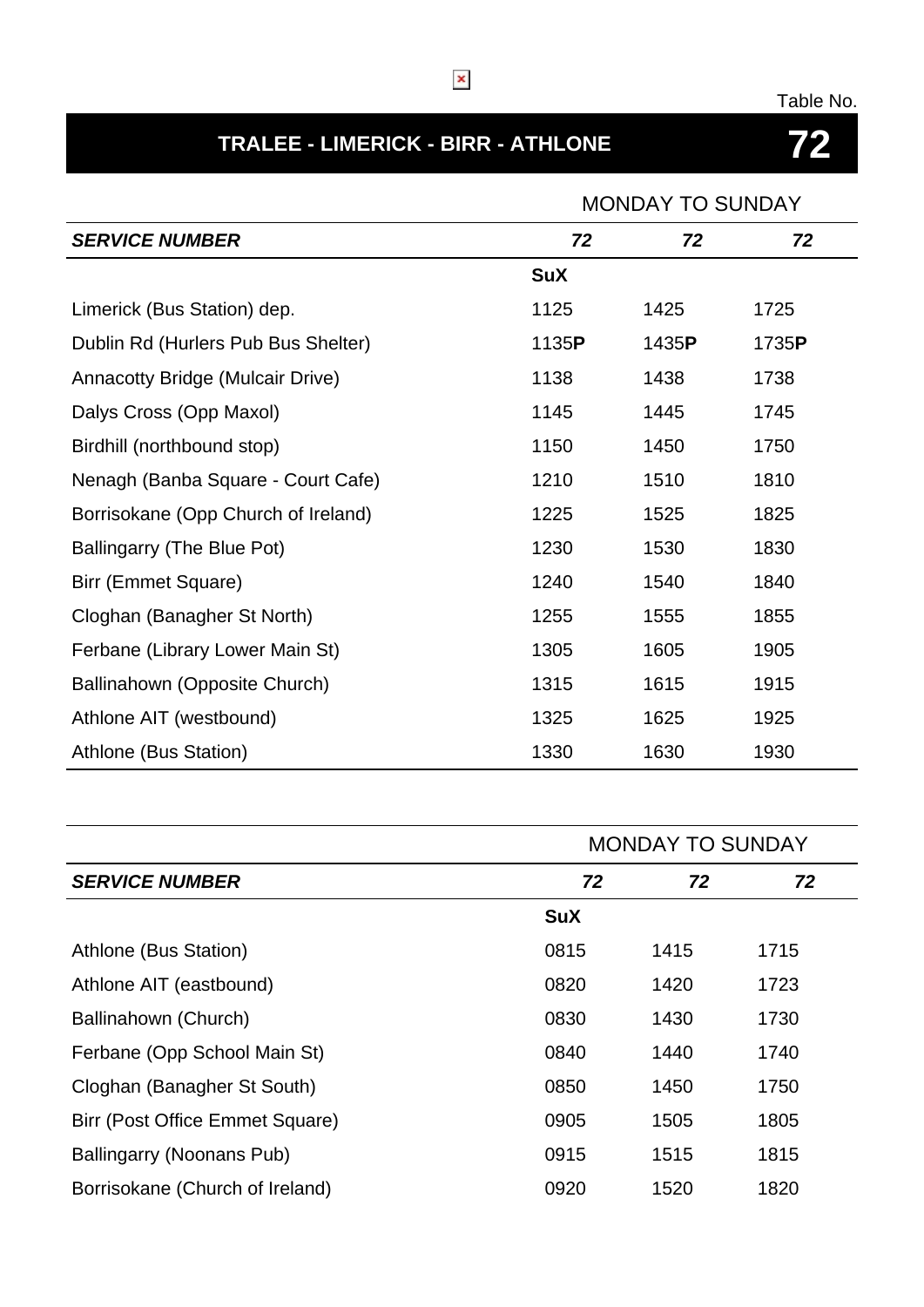## Table No.

# **TRALEE - LIMERICK - BIRR - ATHLONE 72**

# MONDAY TO SUNDAY

| <b>SERVICE NUMBER</b>                   | 72         | 72    | 72    |
|-----------------------------------------|------------|-------|-------|
|                                         | <b>SuX</b> |       |       |
| Limerick (Bus Station) dep.             | 1125       | 1425  | 1725  |
| Dublin Rd (Hurlers Pub Bus Shelter)     | 1135P      | 1435P | 1735P |
| <b>Annacotty Bridge (Mulcair Drive)</b> | 1138       | 1438  | 1738  |
| Dalys Cross (Opp Maxol)                 | 1145       | 1445  | 1745  |
| Birdhill (northbound stop)              | 1150       | 1450  | 1750  |
| Nenagh (Banba Square - Court Cafe)      | 1210       | 1510  | 1810  |
| Borrisokane (Opp Church of Ireland)     | 1225       | 1525  | 1825  |
| Ballingarry (The Blue Pot)              | 1230       | 1530  | 1830  |
| Birr (Emmet Square)                     | 1240       | 1540  | 1840  |
| Cloghan (Banagher St North)             | 1255       | 1555  | 1855  |
| Ferbane (Library Lower Main St)         | 1305       | 1605  | 1905  |
| Ballinahown (Opposite Church)           | 1315       | 1615  | 1915  |
| Athlone AIT (westbound)                 | 1325       | 1625  | 1925  |
| Athlone (Bus Station)                   | 1330       | 1630  | 1930  |

|                                 |            | <b>MONDAY TO SUNDAY</b> |      |  |
|---------------------------------|------------|-------------------------|------|--|
| <b>SERVICE NUMBER</b>           | 72         | 72                      | 72   |  |
|                                 | <b>SuX</b> |                         |      |  |
| Athlone (Bus Station)           | 0815       | 1415                    | 1715 |  |
| Athlone AIT (eastbound)         | 0820       | 1420                    | 1723 |  |
| Ballinahown (Church)            | 0830       | 1430                    | 1730 |  |
| Ferbane (Opp School Main St)    | 0840       | 1440                    | 1740 |  |
| Cloghan (Banagher St South)     | 0850       | 1450                    | 1750 |  |
| Birr (Post Office Emmet Square) | 0905       | 1505                    | 1805 |  |
| Ballingarry (Noonans Pub)       | 0915       | 1515                    | 1815 |  |
| Borrisokane (Church of Ireland) | 0920       | 1520                    | 1820 |  |